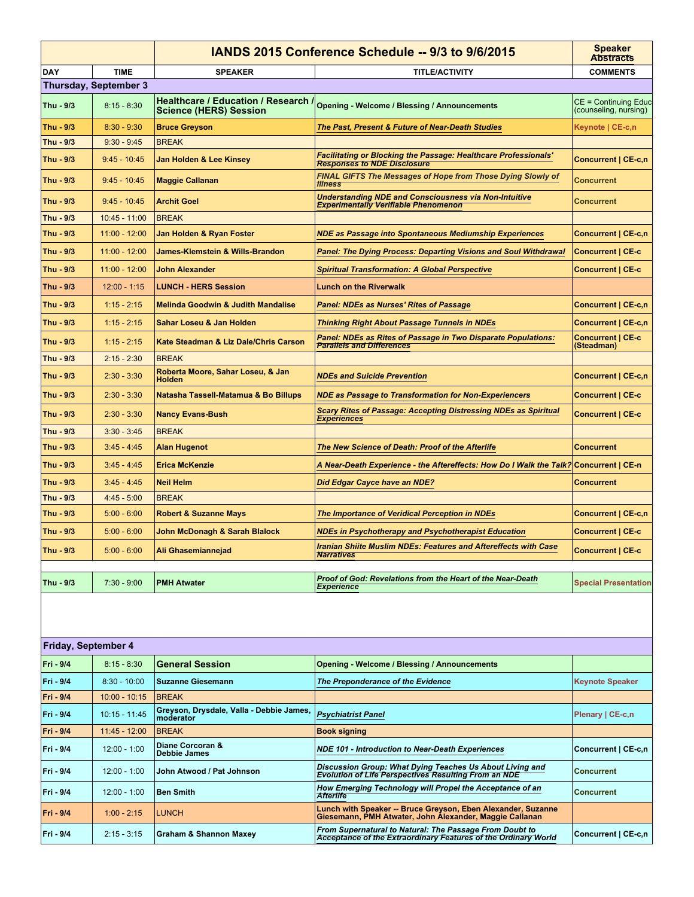|                     |                              |                                                       | IANDS 2015 Conference Schedule -- 9/3 to 9/6/2015                                                                         | <b>Speaker</b><br><b>Abstracts</b>            |  |  |  |
|---------------------|------------------------------|-------------------------------------------------------|---------------------------------------------------------------------------------------------------------------------------|-----------------------------------------------|--|--|--|
| <b>DAY</b>          | <b>TIME</b>                  | <b>SPEAKER</b>                                        | <b>TITLE/ACTIVITY</b>                                                                                                     | <b>COMMENTS</b>                               |  |  |  |
|                     | <b>Thursday, September 3</b> |                                                       |                                                                                                                           |                                               |  |  |  |
| Thu - 9/3           | $8:15 - 8:30$                | <b>Science (HERS) Session</b>                         | Healthcare / Education / Research / Opening - Welcome / Blessing / Announcements                                          | CE = Continuing Educ<br>(counseling, nursing) |  |  |  |
| Thu - 9/3           | $8:30 - 9:30$                | <b>Bruce Greyson</b>                                  | The Past, Present & Future of Near-Death Studies                                                                          | Keynote   CE-c,n                              |  |  |  |
| Thu - 9/3           | $9:30 - 9:45$                | <b>BREAK</b>                                          |                                                                                                                           |                                               |  |  |  |
| Thu - 9/3           | $9:45 - 10:45$               | Jan Holden & Lee Kinsey                               | Facilitating or Blocking the Passage: Healthcare Professionals'<br><b>Responses to NDE Disclosure</b>                     | Concurrent   CE-c,n                           |  |  |  |
| Thu - 9/3           | $9:45 - 10:45$               | <b>Maggie Callanan</b>                                | FINAL GIFTS The Messages of Hope from Those Dying Slowly of<br><b>Illness</b>                                             | Concurrent                                    |  |  |  |
| Thu - 9/3           | $9:45 - 10:45$               | <b>Archit Goel</b>                                    | <b>Understanding NDE and Consciousness via Non-Intuitive</b><br><b>Experimentally Verifiable Phenomenon</b>               | Concurrent                                    |  |  |  |
| Thu - 9/3           | 10:45 - 11:00                | <b>BREAK</b>                                          |                                                                                                                           |                                               |  |  |  |
| Thu - 9/3           | 11:00 - 12:00                | Jan Holden & Ryan Foster                              | NDE as Passage into Spontaneous Mediumship Experiences                                                                    | <b>Concurrent   CE-c,n</b>                    |  |  |  |
| Thu - 9/3           | 11:00 - 12:00                | James-Klemstein & Wills-Brandon                       | Panel: The Dying Process: Departing Visions and Soul Withdrawal                                                           | <b>Concurrent   CE-c</b>                      |  |  |  |
| Thu - 9/3           | 11:00 - 12:00                | John Alexander                                        | <b>Spiritual Transformation: A Global Perspective</b>                                                                     | <b>Concurrent   CE-c</b>                      |  |  |  |
| Thu - 9/3           | $12:00 - 1:15$               | <b>LUNCH - HERS Session</b>                           | <b>Lunch on the Riverwalk</b>                                                                                             |                                               |  |  |  |
| Thu - 9/3           | $1:15 - 2:15$                | <b>Melinda Goodwin &amp; Judith Mandalise</b>         | Panel: NDEs as Nurses' Rites of Passage                                                                                   | Concurrent   CE-c,n                           |  |  |  |
| Thu - 9/3           | $1:15 - 2:15$                | Sahar Loseu & Jan Holden                              | <b>Thinking Right About Passage Tunnels in NDEs</b>                                                                       | Concurrent   CE-c,n                           |  |  |  |
| Thu - 9/3           | $1:15 - 2:15$                | Kate Steadman & Liz Dale/Chris Carson                 | Panel: NDEs as Rites of Passage in Two Disparate Populations:<br><b>Parallels and Differences</b>                         | <b>Concurrent   CE-c</b><br>(Steadman)        |  |  |  |
| Thu - 9/3           | $2:15 - 2:30$                | <b>BREAK</b>                                          |                                                                                                                           |                                               |  |  |  |
| Thu - 9/3           | $2:30 - 3:30$                | Roberta Moore, Sahar Loseu, & Jan<br><b>Holden</b>    | <b>NDEs and Suicide Prevention</b>                                                                                        | Concurrent   CE-c,n                           |  |  |  |
| Thu - 9/3           | $2:30 - 3:30$                | Natasha Tassell-Matamua & Bo Billups                  | <b>NDE as Passage to Transformation for Non-Experiencers</b>                                                              | <b>Concurrent   CE-c</b>                      |  |  |  |
| Thu - 9/3           | $2:30 - 3:30$                | <b>Nancy Evans-Bush</b>                               | Scary Rites of Passage: Accepting Distressing NDEs as Spiritual<br><b>Experiences</b>                                     | <b>Concurrent   CE-c</b>                      |  |  |  |
| Thu - 9/3           | $3:30 - 3:45$                | <b>BREAK</b>                                          |                                                                                                                           |                                               |  |  |  |
| Thu - 9/3           | $3:45 - 4:45$                | <b>Alan Hugenot</b>                                   | The New Science of Death: Proof of the Afterlife                                                                          | <b>Concurrent</b>                             |  |  |  |
| Thu - 9/3           | $3:45 - 4:45$                | <b>Erica McKenzie</b>                                 | A Near-Death Experience - the Aftereffects: How Do I Walk the Talk                                                        | <b>Concurrent   CE-n</b>                      |  |  |  |
| Thu - 9/3           | $3:45 - 4:45$                | <b>Neil Helm</b>                                      | Did Edgar Cayce have an NDE?                                                                                              | Concurrent                                    |  |  |  |
| Thu - 9/3           | $4:45 - 5:00$                | <b>BREAK</b>                                          |                                                                                                                           |                                               |  |  |  |
| Thu - 9/3           | $5:00 - 6:00$                | <b>Robert &amp; Suzanne Mays</b>                      | The Importance of Veridical Perception in NDEs                                                                            | Concurrent   CE-c,n                           |  |  |  |
| Thu - 9/3           | $5:00 - 6:00$                | John McDonagh & Sarah Blalock                         | NDEs in Psychotherapy and Psychotherapist Education                                                                       | <b>Concurrent   CE-c</b>                      |  |  |  |
| Thu - 9/3           | $5:00 - 6:00$                | Ali Ghasemiannejad                                    | Iranian Shiite Muslim NDEs: Features and Aftereffects with Case<br><b>Narratives</b>                                      | <b>Concurrent   CE-c</b>                      |  |  |  |
| Thu - 9/3           | $7:30 - 9:00$                | <b>PMH Atwater</b>                                    | Proof of God: Revelations from the Heart of the Near-Death<br><b>Experience</b>                                           | <b>Special Presentation</b>                   |  |  |  |
|                     |                              |                                                       |                                                                                                                           |                                               |  |  |  |
| Friday, September 4 |                              |                                                       |                                                                                                                           |                                               |  |  |  |
| Fri - 9/4           | $8:15 - 8:30$                | <b>General Session</b>                                | <b>Opening - Welcome / Blessing / Announcements</b>                                                                       |                                               |  |  |  |
| Fri - 9/4           | $8:30 - 10:00$               | <b>Suzanne Giesemann</b>                              | The Preponderance of the Evidence                                                                                         | <b>Keynote Speaker</b>                        |  |  |  |
| Fri - 9/4           | $10:00 - 10:15$              | <b>BREAK</b>                                          |                                                                                                                           |                                               |  |  |  |
| Fri - 9/4           | 10:15 - 11:45                | Greyson, Drysdale, Valla - Debbie James,<br>moderator | <b>Psychiatrist Panel</b>                                                                                                 | Plenary   CE-c,n                              |  |  |  |
| Fri - 9/4           | 11:45 - 12:00                | <b>BREAK</b>                                          | Book signing                                                                                                              |                                               |  |  |  |
| Fri - 9/4           | $12:00 - 1:00$               | Diane Corcoran &<br><b>Debbie James</b>               | <b>NDE 101 - Introduction to Near-Death Experiences</b>                                                                   | Concurrent   CE-c,n                           |  |  |  |
| Fri - 9/4           | $12:00 - 1:00$               | John Atwood / Pat Johnson                             | Discussion Group: What Dying Teaches Us About Living and<br><b>Evolution of Life Perspectives Resulting From an NDE</b>   | <b>Concurrent</b>                             |  |  |  |
| Fri - 9/4           | $12:00 - 1:00$               | <b>Ben Smith</b>                                      | How Emerging Technology will Propel the Acceptance of an<br><b>Afterlife</b>                                              | <b>Concurrent</b>                             |  |  |  |
| Fri - 9/4           | $1:00 - 2:15$                | <b>LUNCH</b>                                          | Lunch with Speaker -- Bruce Greyson, Eben Alexander, Suzanne<br>Giesemann, PMH Atwater, John Alexander, Maggie Callanan   |                                               |  |  |  |
| Fri - 9/4           | $2:15 - 3:15$                | <b>Graham &amp; Shannon Maxey</b>                     | From Supernatural to Natural: The Passage From Doubt to<br>Acceptance of the Extraordinary Features of the Ordinary World | Concurrent   CE-c,n                           |  |  |  |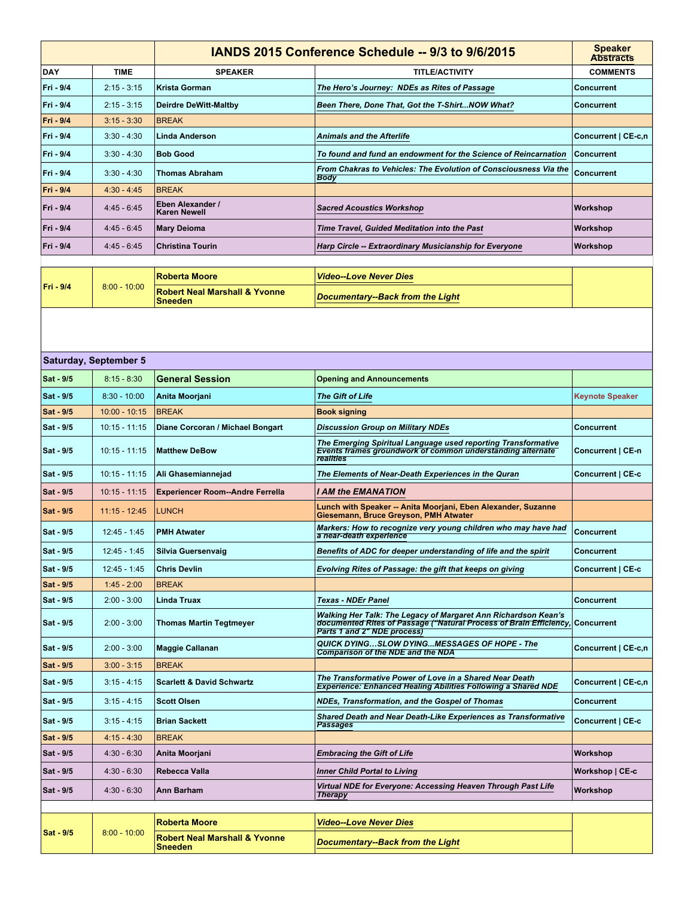|            |                       | IANDS 2015 Conference Schedule -- 9/3 to 9/6/2015 |                                                                                                                                                                                | <b>Speaker</b><br><b>Abstracts</b> |
|------------|-----------------------|---------------------------------------------------|--------------------------------------------------------------------------------------------------------------------------------------------------------------------------------|------------------------------------|
| <b>DAY</b> | <b>TIME</b>           | <b>SPEAKER</b>                                    | <b>TITLE/ACTIVITY</b>                                                                                                                                                          | <b>COMMENTS</b>                    |
| Fri - 9/4  | $2:15 - 3:15$         | <b>Krista Gorman</b>                              | The Hero's Journey: NDEs as Rites of Passage                                                                                                                                   | Concurrent                         |
| Fri - 9/4  | $2:15 - 3:15$         | <b>Deirdre DeWitt-Maltby</b>                      | Been There, Done That, Got the T-ShirtNOW What?                                                                                                                                | <b>Concurrent</b>                  |
| Fri - 9/4  | $3:15 - 3:30$         | <b>BREAK</b>                                      |                                                                                                                                                                                |                                    |
| Fri - 9/4  | $3:30 - 4:30$         | Linda Anderson                                    | Animals and the Afterlife                                                                                                                                                      | Concurrent   CE-c,n                |
| Fri - 9/4  | $3:30 - 4:30$         | <b>Bob Good</b>                                   | To found and fund an endowment for the Science of Reincarnation                                                                                                                | <b>Concurrent</b>                  |
| Fri - 9/4  | $3:30 - 4:30$         | <b>Thomas Abraham</b>                             | From Chakras to Vehicles: The Evolution of Consciousness Via the                                                                                                               | <b>Concurrent</b>                  |
| Fri - 9/4  | $4:30 - 4:45$         | <b>BREAK</b>                                      | Body                                                                                                                                                                           |                                    |
| Fri - 9/4  | $4:45 - 6:45$         | Eben Alexander /                                  | <b>Sacred Acoustics Workshop</b>                                                                                                                                               | Workshop                           |
| Fri - 9/4  | $4:45 - 6:45$         | <b>Karen Newell</b>                               |                                                                                                                                                                                |                                    |
|            |                       | <b>Mary Deioma</b>                                | Time Travel, Guided Meditation into the Past                                                                                                                                   | Workshop                           |
| Fri - 9/4  | 4:45 - 6:45           | <b>Christina Tourin</b>                           | Harp Circle -- Extraordinary Musicianship for Everyone                                                                                                                         | Workshop                           |
|            |                       | <b>Roberta Moore</b>                              | <b>Video--Love Never Dies</b>                                                                                                                                                  |                                    |
| Fri - 9/4  | $8:00 - 10:00$        | <b>Robert Neal Marshall &amp; Yvonne</b>          |                                                                                                                                                                                |                                    |
|            |                       | <b>Sneeden</b>                                    | <b>Documentary--Back from the Light</b>                                                                                                                                        |                                    |
|            |                       |                                                   |                                                                                                                                                                                |                                    |
|            |                       |                                                   |                                                                                                                                                                                |                                    |
|            | Saturday, September 5 |                                                   |                                                                                                                                                                                |                                    |
| Sat - 9/5  | $8:15 - 8:30$         | <b>General Session</b>                            | <b>Opening and Announcements</b>                                                                                                                                               |                                    |
| Sat - 9/5  | $8:30 - 10:00$        | Anita Moorjani                                    | <b>The Gift of Life</b>                                                                                                                                                        | <b>Keynote Speaker</b>             |
| Sat - 9/5  | $10:00 - 10:15$       | <b>BREAK</b>                                      | <b>Book signing</b>                                                                                                                                                            |                                    |
| Sat - 9/5  | $10:15 - 11:15$       | Diane Corcoran / Michael Bongart                  | <b>Discussion Group on Military NDEs</b>                                                                                                                                       | <b>Concurrent</b>                  |
| Sat - 9/5  | $10:15 - 11:15$       | <b>Matthew DeBow</b>                              | The Emerging Spiritual Language used reporting Transformative<br>Events frames groundwork of common understanding alternate<br>realities                                       | Concurrent   CE-n                  |
| Sat - 9/5  | $10:15 - 11:15$       | Ali Ghasemiannejad                                | The Elements of Near-Death Experiences in the Quran                                                                                                                            | Concurrent   CE-c                  |
| Sat - 9/5  | $10:15 - 11:15$       | <b>Experiencer Room--Andre Ferrella</b>           | I AM the EMANATION                                                                                                                                                             |                                    |
| Sat - 9/5  | $11:15 - 12:45$       | <b>LUNCH</b>                                      | Lunch with Speaker -- Anita Moorjani, Eben Alexander, Suzanne                                                                                                                  |                                    |
|            |                       |                                                   | Giesemann, Bruce Greyson, PMH Atwater<br>Markers: How to recognize very young children who may have had                                                                        |                                    |
| Sat - 9/5  | $12:45 - 1:45$        | <b>PMH Atwater</b>                                | a near-death experience                                                                                                                                                        | <b>Concurrent</b>                  |
| Sat - 9/5  | 12:45 - 1:45          | Silvia Guersenvaig                                | Benefits of ADC for deeper understanding of life and the spirit                                                                                                                | Concurrent                         |
| Sat - 9/5  | $12:45 - 1:45$        | <b>Chris Devlin</b>                               | Evolving Rites of Passage: the gift that keeps on giving                                                                                                                       | Concurrent   CE-c                  |
| Sat - 9/5  | $1:45 - 2:00$         | <b>BREAK</b>                                      |                                                                                                                                                                                |                                    |
| Sat - 9/5  | $2:00 - 3:00$         | <b>Linda Truax</b>                                | <b>Texas - NDEr Panel</b>                                                                                                                                                      | <b>Concurrent</b>                  |
| Sat - 9/5  | $2:00 - 3:00$         | <b>Thomas Martin Tegtmeyer</b>                    | Walking Her Talk: The Legacy of Margaret Ann Richardson Kean's<br>documented Rites of Passage ("Natural Process of Brain Efficiency, Concurrent<br>Parts 1 and 2" NDE process) |                                    |
| Sat - 9/5  | $2:00 - 3:00$         | <b>Maggie Callanan</b>                            | QUICK DYINGSLOW DYINGMESSAGES OF HOPE - The<br><b>Comparison of the NDE and the NDA</b>                                                                                        | Concurrent   CE-c,n                |
| Sat - 9/5  | $3:00 - 3:15$         | <b>BREAK</b>                                      |                                                                                                                                                                                |                                    |
| Sat - 9/5  | $3:15 - 4:15$         | <b>Scarlett &amp; David Schwartz</b>              | The Transformative Power of Love in a Shared Near Death<br>Experience: Enhanced Healing Abilities Following a Shared NDE                                                       | Concurrent   CE-c,n                |
| Sat - 9/5  | $3:15 - 4:15$         | <b>Scott Olsen</b>                                | NDEs, Transformation, and the Gospel of Thomas                                                                                                                                 | <b>Concurrent</b>                  |
| Sat - 9/5  | $3:15 - 4:15$         | <b>Brian Sackett</b>                              | <b>Shared Death and Near Death-Like Experiences as Transformative</b><br>Passages                                                                                              | Concurrent   CE-c                  |
| Sat - 9/5  | $4:15 - 4:30$         | <b>BREAK</b>                                      |                                                                                                                                                                                |                                    |
| Sat - 9/5  | $4:30 - 6:30$         | Anita Moorjani                                    | <b>Embracing the Gift of Life</b>                                                                                                                                              | Workshop                           |
| Sat - 9/5  | $4:30 - 6:30$         | Rebecca Valla                                     | <b>Inner Child Portal to Living</b>                                                                                                                                            | Workshop   CE-c                    |
| Sat - 9/5  | $4:30 - 6:30$         | Ann Barham                                        | Virtual NDE for Everyone: Accessing Heaven Through Past Life                                                                                                                   | Workshop                           |
|            |                       |                                                   | <b>Therapy</b>                                                                                                                                                                 |                                    |
|            |                       | <b>Roberta Moore</b>                              | <b>Video--Love Never Dies</b>                                                                                                                                                  |                                    |
| Sat - 9/5  | $8:00 - 10:00$        | <b>Robert Neal Marshall &amp; Yvonne</b>          |                                                                                                                                                                                |                                    |
|            |                       | <b>Sneeden</b>                                    | Documentary--Back from the Light                                                                                                                                               |                                    |